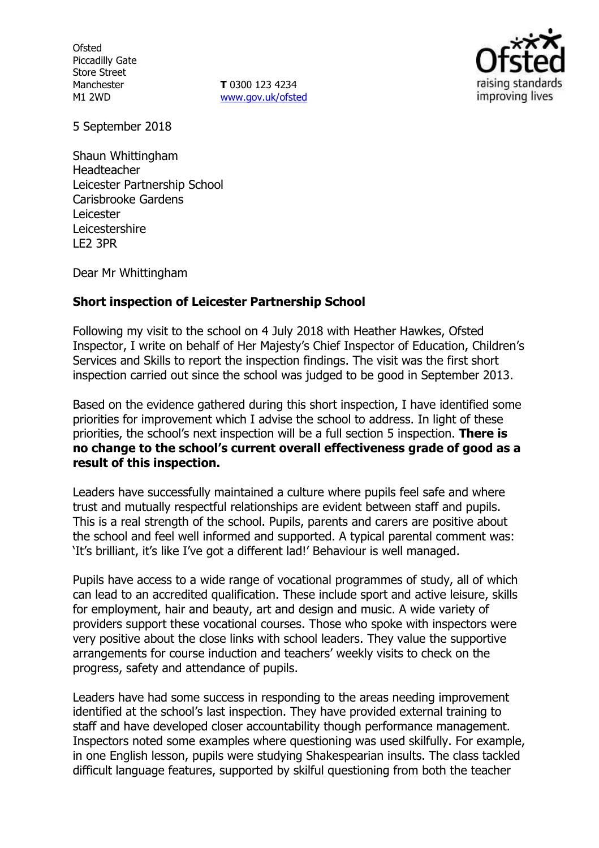**Ofsted** Piccadilly Gate Store Street Manchester M1 2WD

**T** 0300 123 4234 [www.gov.uk/ofsted](http://www.gov.uk/ofsted)



5 September 2018

Shaun Whittingham Headteacher Leicester Partnership School Carisbrooke Gardens Leicester Leicestershire LE2 3PR

Dear Mr Whittingham

#### **Short inspection of Leicester Partnership School**

Following my visit to the school on 4 July 2018 with Heather Hawkes, Ofsted Inspector, I write on behalf of Her Majesty's Chief Inspector of Education, Children's Services and Skills to report the inspection findings. The visit was the first short inspection carried out since the school was judged to be good in September 2013.

Based on the evidence gathered during this short inspection, I have identified some priorities for improvement which I advise the school to address. In light of these priorities, the school's next inspection will be a full section 5 inspection. **There is no change to the school's current overall effectiveness grade of good as a result of this inspection.**

Leaders have successfully maintained a culture where pupils feel safe and where trust and mutually respectful relationships are evident between staff and pupils. This is a real strength of the school. Pupils, parents and carers are positive about the school and feel well informed and supported. A typical parental comment was: 'It's brilliant, it's like I've got a different lad!' Behaviour is well managed.

Pupils have access to a wide range of vocational programmes of study, all of which can lead to an accredited qualification. These include sport and active leisure, skills for employment, hair and beauty, art and design and music. A wide variety of providers support these vocational courses. Those who spoke with inspectors were very positive about the close links with school leaders. They value the supportive arrangements for course induction and teachers' weekly visits to check on the progress, safety and attendance of pupils.

Leaders have had some success in responding to the areas needing improvement identified at the school's last inspection. They have provided external training to staff and have developed closer accountability though performance management. Inspectors noted some examples where questioning was used skilfully. For example, in one English lesson, pupils were studying Shakespearian insults. The class tackled difficult language features, supported by skilful questioning from both the teacher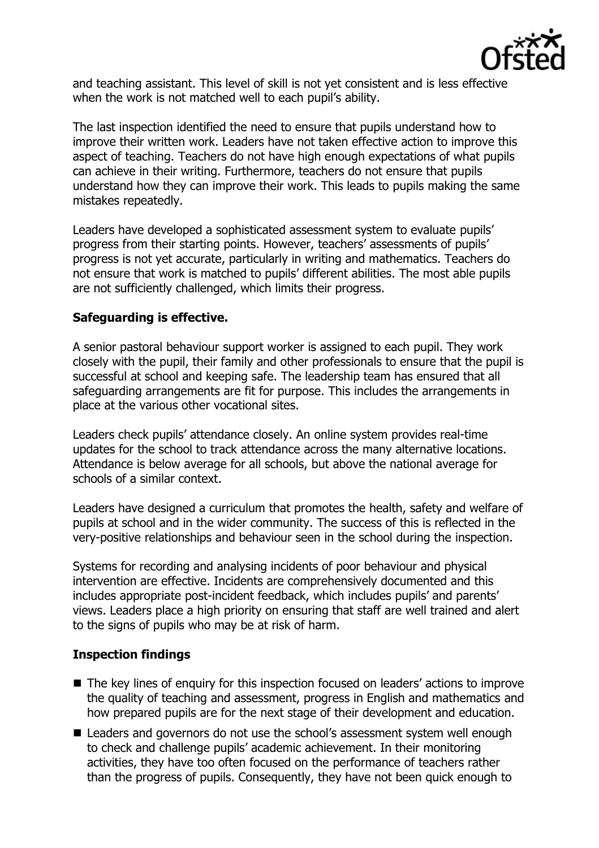

and teaching assistant. This level of skill is not yet consistent and is less effective when the work is not matched well to each pupil's ability.

The last inspection identified the need to ensure that pupils understand how to improve their written work. Leaders have not taken effective action to improve this aspect of teaching. Teachers do not have high enough expectations of what pupils can achieve in their writing. Furthermore, teachers do not ensure that pupils understand how they can improve their work. This leads to pupils making the same mistakes repeatedly.

Leaders have developed a sophisticated assessment system to evaluate pupils' progress from their starting points. However, teachers' assessments of pupils' progress is not yet accurate, particularly in writing and mathematics. Teachers do not ensure that work is matched to pupils' different abilities. The most able pupils are not sufficiently challenged, which limits their progress.

## **Safeguarding is effective.**

A senior pastoral behaviour support worker is assigned to each pupil. They work closely with the pupil, their family and other professionals to ensure that the pupil is successful at school and keeping safe. The leadership team has ensured that all safeguarding arrangements are fit for purpose. This includes the arrangements in place at the various other vocational sites.

Leaders check pupils' attendance closely. An online system provides real-time updates for the school to track attendance across the many alternative locations. Attendance is below average for all schools, but above the national average for schools of a similar context.

Leaders have designed a curriculum that promotes the health, safety and welfare of pupils at school and in the wider community. The success of this is reflected in the very-positive relationships and behaviour seen in the school during the inspection.

Systems for recording and analysing incidents of poor behaviour and physical intervention are effective. Incidents are comprehensively documented and this includes appropriate post-incident feedback, which includes pupils' and parents' views. Leaders place a high priority on ensuring that staff are well trained and alert to the signs of pupils who may be at risk of harm.

# **Inspection findings**

- The key lines of enquiry for this inspection focused on leaders' actions to improve the quality of teaching and assessment, progress in English and mathematics and how prepared pupils are for the next stage of their development and education.
- Leaders and governors do not use the school's assessment system well enough to check and challenge pupils' academic achievement. In their monitoring activities, they have too often focused on the performance of teachers rather than the progress of pupils. Consequently, they have not been quick enough to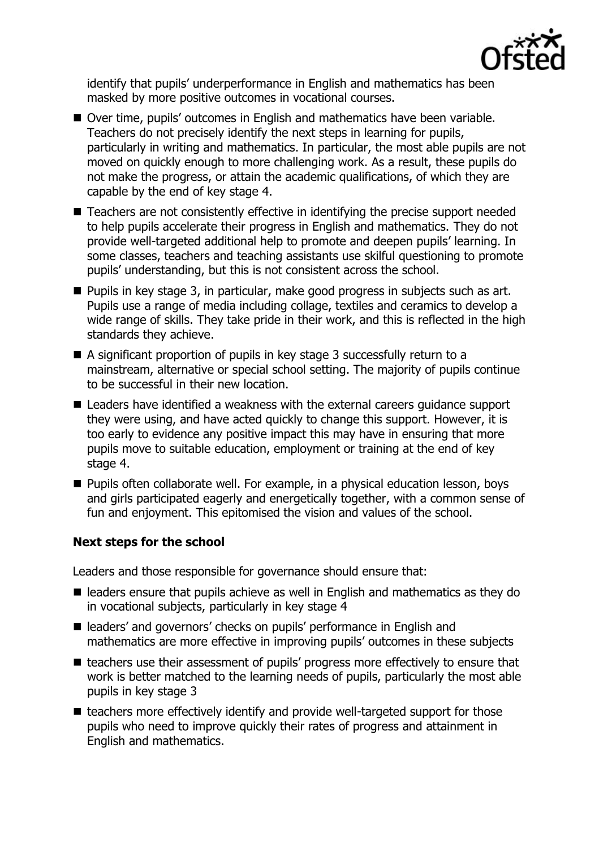

identify that pupils' underperformance in English and mathematics has been masked by more positive outcomes in vocational courses.

- Over time, pupils' outcomes in English and mathematics have been variable. Teachers do not precisely identify the next steps in learning for pupils, particularly in writing and mathematics. In particular, the most able pupils are not moved on quickly enough to more challenging work. As a result, these pupils do not make the progress, or attain the academic qualifications, of which they are capable by the end of key stage 4.
- Teachers are not consistently effective in identifying the precise support needed to help pupils accelerate their progress in English and mathematics. They do not provide well-targeted additional help to promote and deepen pupils' learning. In some classes, teachers and teaching assistants use skilful questioning to promote pupils' understanding, but this is not consistent across the school.
- Pupils in key stage 3, in particular, make good progress in subjects such as art. Pupils use a range of media including collage, textiles and ceramics to develop a wide range of skills. They take pride in their work, and this is reflected in the high standards they achieve.
- A significant proportion of pupils in key stage 3 successfully return to a mainstream, alternative or special school setting. The majority of pupils continue to be successful in their new location.
- Leaders have identified a weakness with the external careers guidance support they were using, and have acted quickly to change this support. However, it is too early to evidence any positive impact this may have in ensuring that more pupils move to suitable education, employment or training at the end of key stage 4.
- **Pupils often collaborate well. For example, in a physical education lesson, boys** and girls participated eagerly and energetically together, with a common sense of fun and enjoyment. This epitomised the vision and values of the school.

# **Next steps for the school**

Leaders and those responsible for governance should ensure that:

- leaders ensure that pupils achieve as well in English and mathematics as they do in vocational subjects, particularly in key stage 4
- leaders' and governors' checks on pupils' performance in English and mathematics are more effective in improving pupils' outcomes in these subjects
- teachers use their assessment of pupils' progress more effectively to ensure that work is better matched to the learning needs of pupils, particularly the most able pupils in key stage 3
- $\blacksquare$  teachers more effectively identify and provide well-targeted support for those pupils who need to improve quickly their rates of progress and attainment in English and mathematics.